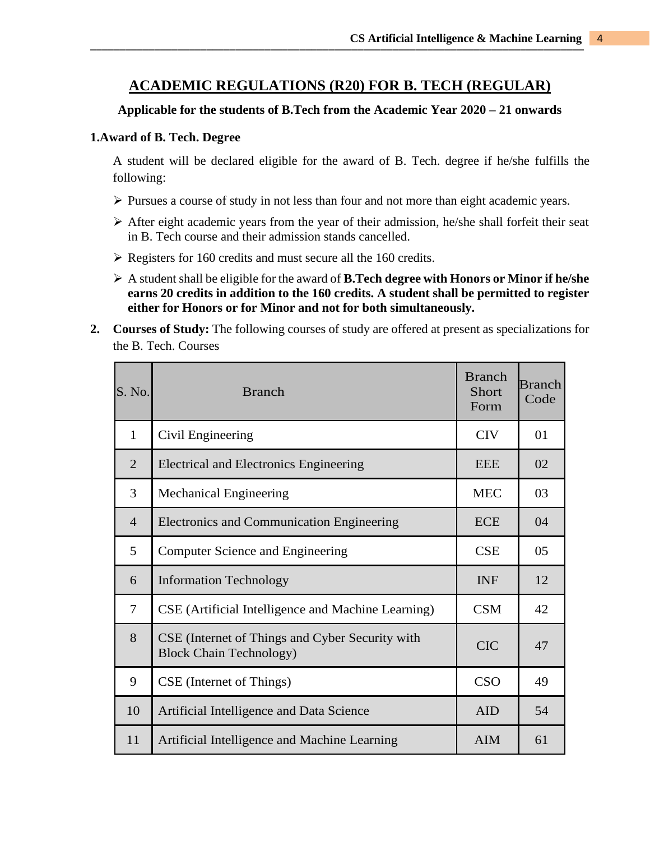## **ACADEMIC REGULATIONS (R20) FOR B. TECH (REGULAR)**

## **Applicable for the students of B.Tech from the Academic Year 2020 – 21 onwards**

### **1.Award of B. Tech. Degree**

A student will be declared eligible for the award of B. Tech. degree if he/she fulfills the following:

- ➢ Pursues a course of study in not less than four and not more than eight academic years.
- ➢ After eight academic years from the year of their admission, he/she shall forfeit their seat in B. Tech course and their admission stands cancelled.
- ➢ Registers for 160 credits and must secure all the 160 credits.
- ➢ A student shall be eligible for the award of **B.Tech degree with Honors or Minor if he/she earns 20 credits in addition to the 160 credits. A student shall be permitted to register either for Honors or for Minor and not for both simultaneously.**
- **2. Courses of Study:** The following courses of study are offered at present as specializations for the B. Tech. Courses

| S. No.         | <b>Branch</b>                                                                      | <b>Branch</b><br><b>Short</b><br>Form | <b>Branch</b><br>Code |
|----------------|------------------------------------------------------------------------------------|---------------------------------------|-----------------------|
| $\mathbf{1}$   | Civil Engineering                                                                  | <b>CIV</b>                            | 01                    |
| 2              | <b>Electrical and Electronics Engineering</b>                                      | <b>EEE</b>                            | 02                    |
| 3              | <b>Mechanical Engineering</b>                                                      | <b>MEC</b>                            | 03                    |
| $\overline{4}$ | <b>Electronics and Communication Engineering</b>                                   | <b>ECE</b>                            | 04                    |
| 5              | Computer Science and Engineering                                                   | <b>CSE</b>                            | 0 <sub>5</sub>        |
| 6              | <b>Information Technology</b>                                                      | <b>INF</b>                            | 12                    |
| $\overline{7}$ | CSE (Artificial Intelligence and Machine Learning)                                 | <b>CSM</b>                            | 42                    |
| 8              | CSE (Internet of Things and Cyber Security with<br><b>Block Chain Technology</b> ) | <b>CIC</b>                            | 47                    |
| 9              | CSE (Internet of Things)                                                           | <b>CSO</b>                            | 49                    |
| 10             | Artificial Intelligence and Data Science                                           | <b>AID</b>                            | 54                    |
| 11             | Artificial Intelligence and Machine Learning                                       | <b>AIM</b>                            | 61                    |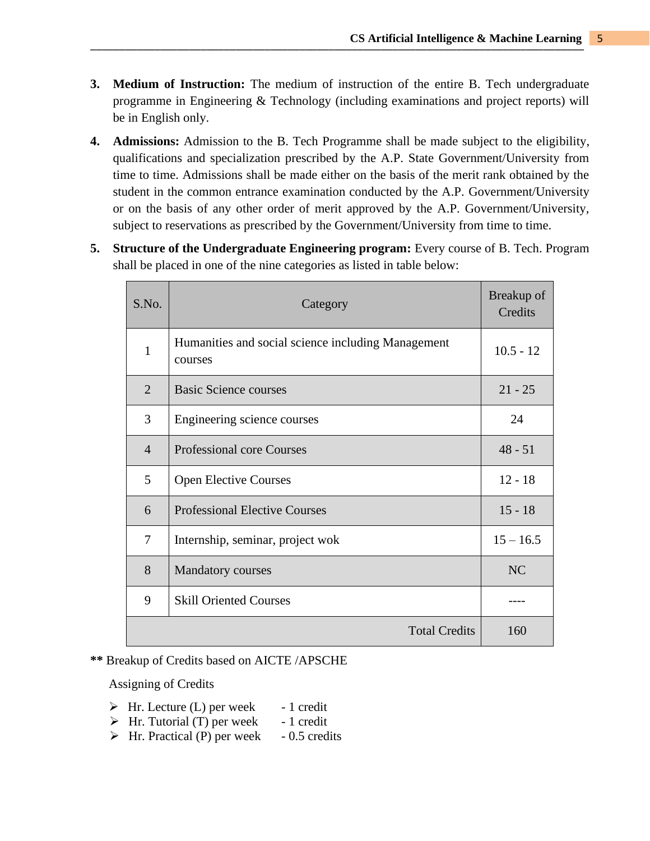- **3. Medium of Instruction:** The medium of instruction of the entire B. Tech undergraduate programme in Engineering & Technology (including examinations and project reports) will be in English only.
- **4. Admissions:** Admission to the B. Tech Programme shall be made subject to the eligibility, qualifications and specialization prescribed by the A.P. State Government/University from time to time. Admissions shall be made either on the basis of the merit rank obtained by the student in the common entrance examination conducted by the A.P. Government/University or on the basis of any other order of merit approved by the A.P. Government/University, subject to reservations as prescribed by the Government/University from time to time.
- **5. Structure of the Undergraduate Engineering program:** Every course of B. Tech. Program shall be placed in one of the nine categories as listed in table below:

| S.No.          | Category                                                      | Breakup of<br>Credits |
|----------------|---------------------------------------------------------------|-----------------------|
| 1              | Humanities and social science including Management<br>courses | $10.5 - 12$           |
| $\overline{2}$ | <b>Basic Science courses</b>                                  | $21 - 25$             |
| 3              | Engineering science courses                                   | 24                    |
| $\overline{4}$ | <b>Professional core Courses</b>                              | $48 - 51$             |
| 5              | <b>Open Elective Courses</b>                                  | $12 - 18$             |
| 6              | <b>Professional Elective Courses</b>                          | $15 - 18$             |
| 7              | Internship, seminar, project wok                              | $15 - 16.5$           |
| 8              | <b>Mandatory courses</b>                                      | NC                    |
| 9              | <b>Skill Oriented Courses</b>                                 |                       |
|                | <b>Total Credits</b>                                          | 160                   |

**\*\*** Breakup of Credits based on AICTE /APSCHE

Assigning of Credits

- $\triangleright$  Hr. Lecture (L) per week 1 credit
- $\triangleright$  Hr. Tutorial (T) per week 1 credit
- $\triangleright$  Hr. Practical (P) per week 0.5 credits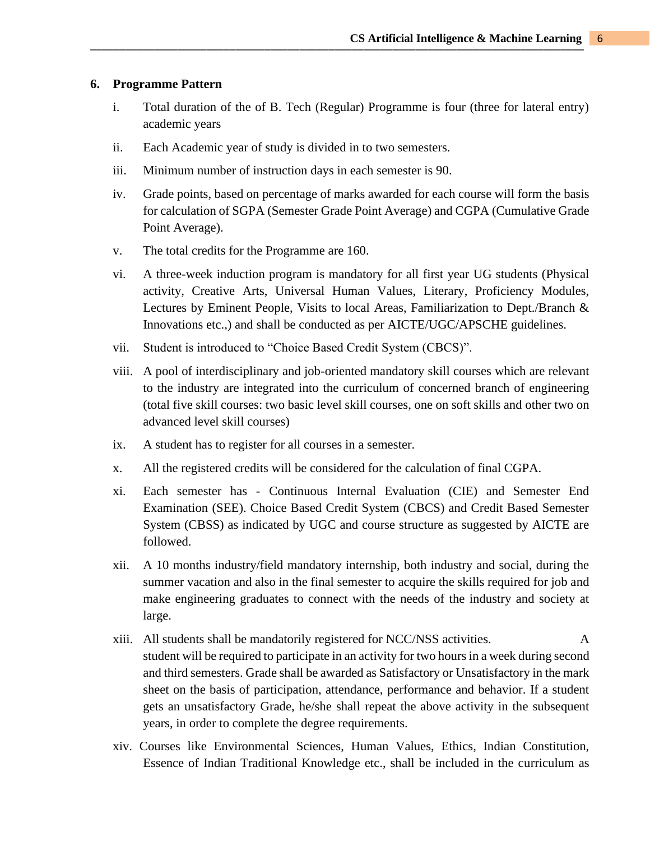#### **6. Programme Pattern**

- i. Total duration of the of B. Tech (Regular) Programme is four (three for lateral entry) academic years
- ii. Each Academic year of study is divided in to two semesters.
- iii. Minimum number of instruction days in each semester is 90.
- iv. Grade points, based on percentage of marks awarded for each course will form the basis for calculation of SGPA (Semester Grade Point Average) and CGPA (Cumulative Grade Point Average).
- v. The total credits for the Programme are 160.
- vi. A three-week induction program is mandatory for all first year UG students (Physical activity, Creative Arts, Universal Human Values, Literary, Proficiency Modules, Lectures by Eminent People, Visits to local Areas, Familiarization to Dept./Branch & Innovations etc.,) and shall be conducted as per AICTE/UGC/APSCHE guidelines.
- vii. Student is introduced to "Choice Based Credit System (CBCS)".
- viii. A pool of interdisciplinary and job-oriented mandatory skill courses which are relevant to the industry are integrated into the curriculum of concerned branch of engineering (total five skill courses: two basic level skill courses, one on soft skills and other two on advanced level skill courses)
- ix. A student has to register for all courses in a semester.
- x. All the registered credits will be considered for the calculation of final CGPA.
- xi. Each semester has Continuous Internal Evaluation (CIE) and Semester End Examination (SEE). Choice Based Credit System (CBCS) and Credit Based Semester System (CBSS) as indicated by UGC and course structure as suggested by AICTE are followed.
- xii. A 10 months industry/field mandatory internship, both industry and social, during the summer vacation and also in the final semester to acquire the skills required for job and make engineering graduates to connect with the needs of the industry and society at large.
- xiii. All students shall be mandatorily registered for NCC/NSS activities. A student will be required to participate in an activity for two hours in a week during second and third semesters. Grade shall be awarded as Satisfactory or Unsatisfactory in the mark sheet on the basis of participation, attendance, performance and behavior. If a student gets an unsatisfactory Grade, he/she shall repeat the above activity in the subsequent years, in order to complete the degree requirements.
- xiv. Courses like Environmental Sciences, Human Values, Ethics, Indian Constitution, Essence of Indian Traditional Knowledge etc., shall be included in the curriculum as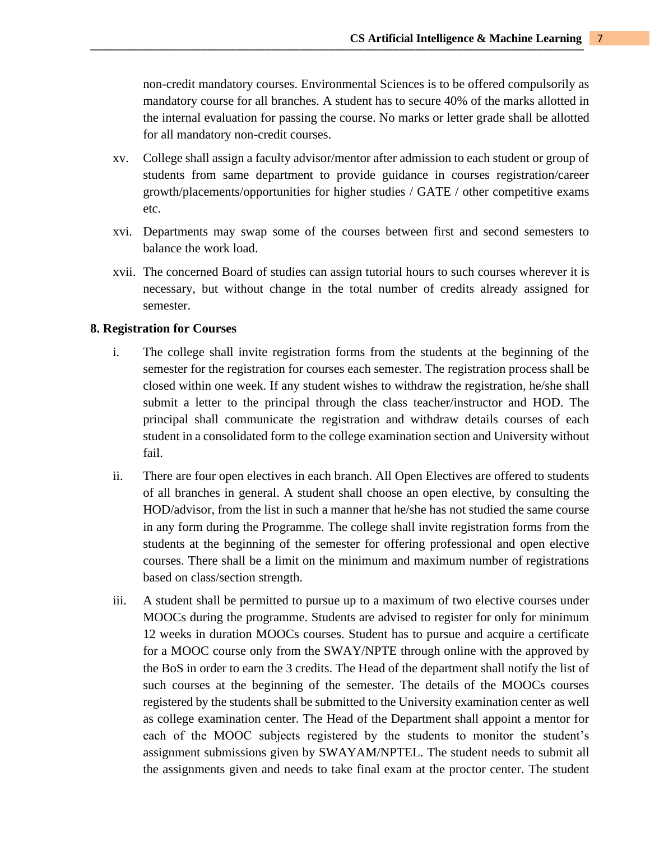non-credit mandatory courses. Environmental Sciences is to be offered compulsorily as mandatory course for all branches. A student has to secure 40% of the marks allotted in the internal evaluation for passing the course. No marks or letter grade shall be allotted for all mandatory non-credit courses.

- xv. College shall assign a faculty advisor/mentor after admission to each student or group of students from same department to provide guidance in courses registration/career growth/placements/opportunities for higher studies / GATE / other competitive exams etc.
- xvi. Departments may swap some of the courses between first and second semesters to balance the work load.
- xvii. The concerned Board of studies can assign tutorial hours to such courses wherever it is necessary, but without change in the total number of credits already assigned for semester.

## **8. Registration for Courses**

- i. The college shall invite registration forms from the students at the beginning of the semester for the registration for courses each semester. The registration process shall be closed within one week. If any student wishes to withdraw the registration, he/she shall submit a letter to the principal through the class teacher/instructor and HOD. The principal shall communicate the registration and withdraw details courses of each student in a consolidated form to the college examination section and University without fail.
- ii. There are four open electives in each branch. All Open Electives are offered to students of all branches in general. A student shall choose an open elective, by consulting the HOD/advisor, from the list in such a manner that he/she has not studied the same course in any form during the Programme. The college shall invite registration forms from the students at the beginning of the semester for offering professional and open elective courses. There shall be a limit on the minimum and maximum number of registrations based on class/section strength.
- iii. A student shall be permitted to pursue up to a maximum of two elective courses under MOOCs during the programme. Students are advised to register for only for minimum 12 weeks in duration MOOCs courses. Student has to pursue and acquire a certificate for a MOOC course only from the SWAY/NPTE through online with the approved by the BoS in order to earn the 3 credits. The Head of the department shall notify the list of such courses at the beginning of the semester. The details of the MOOCs courses registered by the students shall be submitted to the University examination center as well as college examination center. The Head of the Department shall appoint a mentor for each of the MOOC subjects registered by the students to monitor the student's assignment submissions given by SWAYAM/NPTEL. The student needs to submit all the assignments given and needs to take final exam at the proctor center. The student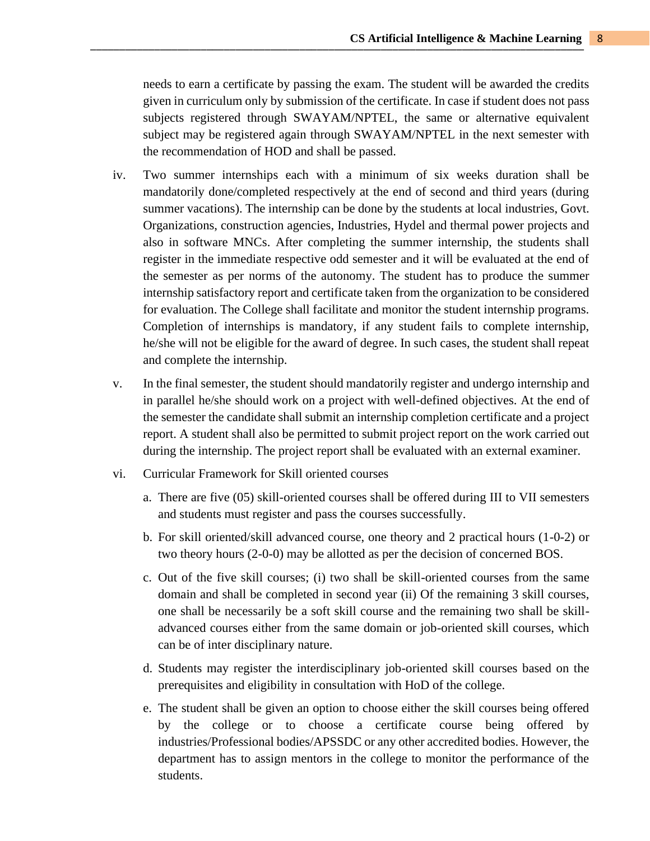needs to earn a certificate by passing the exam. The student will be awarded the credits given in curriculum only by submission of the certificate. In case if student does not pass subjects registered through SWAYAM/NPTEL, the same or alternative equivalent subject may be registered again through SWAYAM/NPTEL in the next semester with the recommendation of HOD and shall be passed.

- iv. Two summer internships each with a minimum of six weeks duration shall be mandatorily done/completed respectively at the end of second and third years (during summer vacations). The internship can be done by the students at local industries, Govt. Organizations, construction agencies, Industries, Hydel and thermal power projects and also in software MNCs. After completing the summer internship, the students shall register in the immediate respective odd semester and it will be evaluated at the end of the semester as per norms of the autonomy. The student has to produce the summer internship satisfactory report and certificate taken from the organization to be considered for evaluation. The College shall facilitate and monitor the student internship programs. Completion of internships is mandatory, if any student fails to complete internship, he/she will not be eligible for the award of degree. In such cases, the student shall repeat and complete the internship.
- v. In the final semester, the student should mandatorily register and undergo internship and in parallel he/she should work on a project with well-defined objectives. At the end of the semester the candidate shall submit an internship completion certificate and a project report. A student shall also be permitted to submit project report on the work carried out during the internship. The project report shall be evaluated with an external examiner.
- vi. Curricular Framework for Skill oriented courses
	- a. There are five (05) skill-oriented courses shall be offered during III to VII semesters and students must register and pass the courses successfully.
	- b. For skill oriented/skill advanced course, one theory and 2 practical hours (1-0-2) or two theory hours (2-0-0) may be allotted as per the decision of concerned BOS.
	- c. Out of the five skill courses; (i) two shall be skill-oriented courses from the same domain and shall be completed in second year (ii) Of the remaining 3 skill courses, one shall be necessarily be a soft skill course and the remaining two shall be skilladvanced courses either from the same domain or job-oriented skill courses, which can be of inter disciplinary nature.
	- d. Students may register the interdisciplinary job-oriented skill courses based on the prerequisites and eligibility in consultation with HoD of the college.
	- e. The student shall be given an option to choose either the skill courses being offered by the college or to choose a certificate course being offered by industries/Professional bodies/APSSDC or any other accredited bodies. However, the department has to assign mentors in the college to monitor the performance of the students.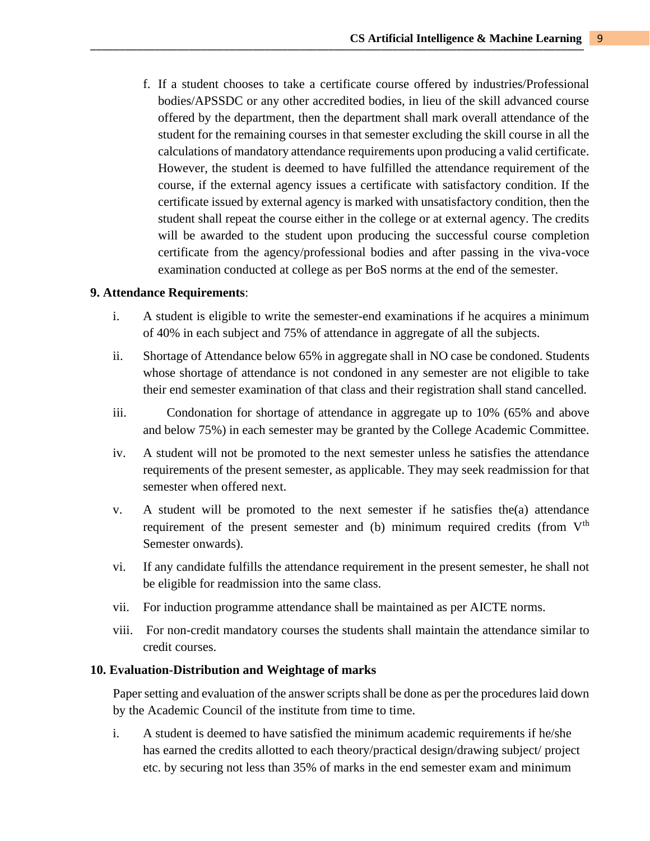f. If a student chooses to take a certificate course offered by industries/Professional bodies/APSSDC or any other accredited bodies, in lieu of the skill advanced course offered by the department, then the department shall mark overall attendance of the student for the remaining courses in that semester excluding the skill course in all the calculations of mandatory attendance requirements upon producing a valid certificate. However, the student is deemed to have fulfilled the attendance requirement of the course, if the external agency issues a certificate with satisfactory condition. If the certificate issued by external agency is marked with unsatisfactory condition, then the student shall repeat the course either in the college or at external agency. The credits will be awarded to the student upon producing the successful course completion certificate from the agency/professional bodies and after passing in the viva-voce examination conducted at college as per BoS norms at the end of the semester.

#### **9. Attendance Requirements**:

- i. A student is eligible to write the semester-end examinations if he acquires a minimum of 40% in each subject and 75% of attendance in aggregate of all the subjects.
- ii. Shortage of Attendance below 65% in aggregate shall in NO case be condoned. Students whose shortage of attendance is not condoned in any semester are not eligible to take their end semester examination of that class and their registration shall stand cancelled.
- iii. Condonation for shortage of attendance in aggregate up to 10% (65% and above and below 75%) in each semester may be granted by the College Academic Committee.
- iv. A student will not be promoted to the next semester unless he satisfies the attendance requirements of the present semester, as applicable. They may seek readmission for that semester when offered next.
- v. A student will be promoted to the next semester if he satisfies the(a) attendance requirement of the present semester and (b) minimum required credits (from  $V<sup>th</sup>$ Semester onwards).
- vi. If any candidate fulfills the attendance requirement in the present semester, he shall not be eligible for readmission into the same class.
- vii. For induction programme attendance shall be maintained as per AICTE norms.
- viii. For non-credit mandatory courses the students shall maintain the attendance similar to credit courses.

#### **10. Evaluation-Distribution and Weightage of marks**

Paper setting and evaluation of the answer scripts shall be done as per the procedures laid down by the Academic Council of the institute from time to time.

i. A student is deemed to have satisfied the minimum academic requirements if he/she has earned the credits allotted to each theory/practical design/drawing subject/ project etc. by securing not less than 35% of marks in the end semester exam and minimum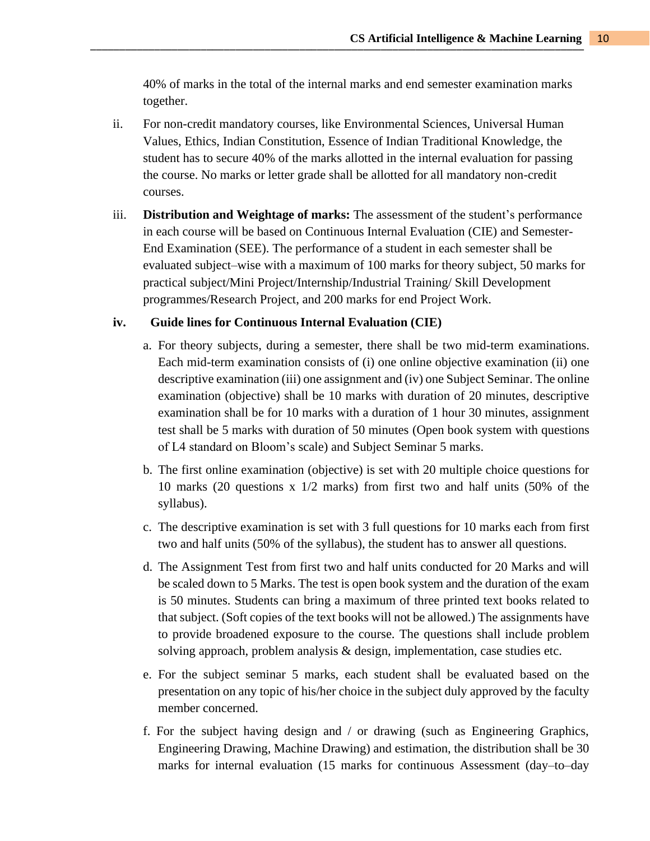40% of marks in the total of the internal marks and end semester examination marks together.

- ii. For non-credit mandatory courses, like Environmental Sciences, Universal Human Values, Ethics, Indian Constitution, Essence of Indian Traditional Knowledge, the student has to secure 40% of the marks allotted in the internal evaluation for passing the course. No marks or letter grade shall be allotted for all mandatory non-credit courses.
- iii. **Distribution and Weightage of marks:** The assessment of the student's performance in each course will be based on Continuous Internal Evaluation (CIE) and Semester-End Examination (SEE). The performance of a student in each semester shall be evaluated subject–wise with a maximum of 100 marks for theory subject, 50 marks for practical subject/Mini Project/Internship/Industrial Training/ Skill Development programmes/Research Project, and 200 marks for end Project Work.

#### **iv. Guide lines for Continuous Internal Evaluation (CIE)**

- a. For theory subjects, during a semester, there shall be two mid-term examinations. Each mid-term examination consists of (i) one online objective examination (ii) one descriptive examination (iii) one assignment and (iv) one Subject Seminar. The online examination (objective) shall be 10 marks with duration of 20 minutes, descriptive examination shall be for 10 marks with a duration of 1 hour 30 minutes, assignment test shall be 5 marks with duration of 50 minutes (Open book system with questions of L4 standard on Bloom's scale) and Subject Seminar 5 marks.
- b. The first online examination (objective) is set with 20 multiple choice questions for 10 marks (20 questions x 1/2 marks) from first two and half units (50% of the syllabus).
- c. The descriptive examination is set with 3 full questions for 10 marks each from first two and half units (50% of the syllabus), the student has to answer all questions.
- d. The Assignment Test from first two and half units conducted for 20 Marks and will be scaled down to 5 Marks. The test is open book system and the duration of the exam is 50 minutes. Students can bring a maximum of three printed text books related to that subject. (Soft copies of the text books will not be allowed.) The assignments have to provide broadened exposure to the course. The questions shall include problem solving approach, problem analysis & design, implementation, case studies etc.
- e. For the subject seminar 5 marks, each student shall be evaluated based on the presentation on any topic of his/her choice in the subject duly approved by the faculty member concerned.
- f. For the subject having design and / or drawing (such as Engineering Graphics, Engineering Drawing, Machine Drawing) and estimation, the distribution shall be 30 marks for internal evaluation (15 marks for continuous Assessment (day–to–day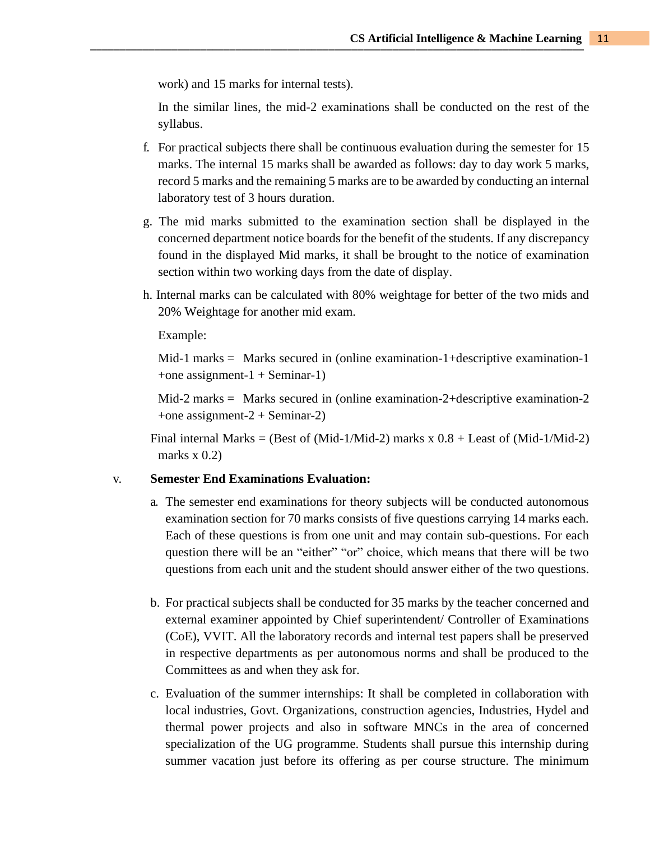work) and 15 marks for internal tests).

In the similar lines, the mid-2 examinations shall be conducted on the rest of the syllabus.

- f. For practical subjects there shall be continuous evaluation during the semester for 15 marks. The internal 15 marks shall be awarded as follows: day to day work 5 marks, record 5 marks and the remaining 5 marks are to be awarded by conducting an internal laboratory test of 3 hours duration.
- g. The mid marks submitted to the examination section shall be displayed in the concerned department notice boards for the benefit of the students. If any discrepancy found in the displayed Mid marks, it shall be brought to the notice of examination section within two working days from the date of display.
- h. Internal marks can be calculated with 80% weightage for better of the two mids and 20% Weightage for another mid exam.

Example:

 $Mid-1$  marks = Marks secured in (online examination-1+descriptive examination-1 +one assignment- $1 +$ Seminar-1)

 $Mid-2$  marks = Marks secured in (online examination-2+descriptive examination-2 +one assignment-2 + Seminar-2)

Final internal Marks = (Best of (Mid-1/Mid-2) marks  $x \cdot 0.8 +$  Least of (Mid-1/Mid-2) marks  $x(0.2)$ 

## v. **Semester End Examinations Evaluation:**

- a. The semester end examinations for theory subjects will be conducted autonomous examination section for 70 marks consists of five questions carrying 14 marks each. Each of these questions is from one unit and may contain sub-questions. For each question there will be an "either" "or" choice, which means that there will be two questions from each unit and the student should answer either of the two questions.
- b. For practical subjects shall be conducted for 35 marks by the teacher concerned and external examiner appointed by Chief superintendent/ Controller of Examinations (CoE), VVIT. All the laboratory records and internal test papers shall be preserved in respective departments as per autonomous norms and shall be produced to the Committees as and when they ask for.
- c. Evaluation of the summer internships: It shall be completed in collaboration with local industries, Govt. Organizations, construction agencies, Industries, Hydel and thermal power projects and also in software MNCs in the area of concerned specialization of the UG programme. Students shall pursue this internship during summer vacation just before its offering as per course structure. The minimum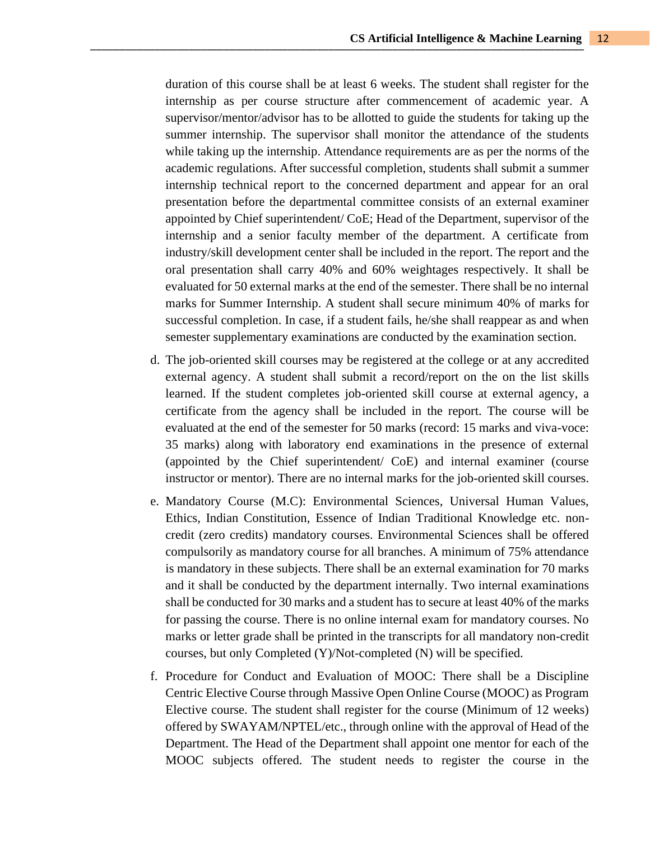duration of this course shall be at least 6 weeks. The student shall register for the internship as per course structure after commencement of academic year. A supervisor/mentor/advisor has to be allotted to guide the students for taking up the summer internship. The supervisor shall monitor the attendance of the students while taking up the internship. Attendance requirements are as per the norms of the academic regulations. After successful completion, students shall submit a summer internship technical report to the concerned department and appear for an oral presentation before the departmental committee consists of an external examiner appointed by Chief superintendent/ CoE; Head of the Department, supervisor of the internship and a senior faculty member of the department. A certificate from industry/skill development center shall be included in the report. The report and the oral presentation shall carry 40% and 60% weightages respectively. It shall be evaluated for 50 external marks at the end of the semester. There shall be no internal marks for Summer Internship. A student shall secure minimum 40% of marks for successful completion. In case, if a student fails, he/she shall reappear as and when semester supplementary examinations are conducted by the examination section.

- d. The job-oriented skill courses may be registered at the college or at any accredited external agency. A student shall submit a record/report on the on the list skills learned. If the student completes job-oriented skill course at external agency, a certificate from the agency shall be included in the report. The course will be evaluated at the end of the semester for 50 marks (record: 15 marks and viva-voce: 35 marks) along with laboratory end examinations in the presence of external (appointed by the Chief superintendent/ CoE) and internal examiner (course instructor or mentor). There are no internal marks for the job-oriented skill courses.
- e. Mandatory Course (M.C): Environmental Sciences, Universal Human Values, Ethics, Indian Constitution, Essence of Indian Traditional Knowledge etc. noncredit (zero credits) mandatory courses. Environmental Sciences shall be offered compulsorily as mandatory course for all branches. A minimum of 75% attendance is mandatory in these subjects. There shall be an external examination for 70 marks and it shall be conducted by the department internally. Two internal examinations shall be conducted for 30 marks and a student has to secure at least 40% of the marks for passing the course. There is no online internal exam for mandatory courses. No marks or letter grade shall be printed in the transcripts for all mandatory non-credit courses, but only Completed (Y)/Not-completed (N) will be specified.
- f. Procedure for Conduct and Evaluation of MOOC: There shall be a Discipline Centric Elective Course through Massive Open Online Course (MOOC) as Program Elective course. The student shall register for the course (Minimum of 12 weeks) offered by SWAYAM/NPTEL/etc., through online with the approval of Head of the Department. The Head of the Department shall appoint one mentor for each of the MOOC subjects offered. The student needs to register the course in the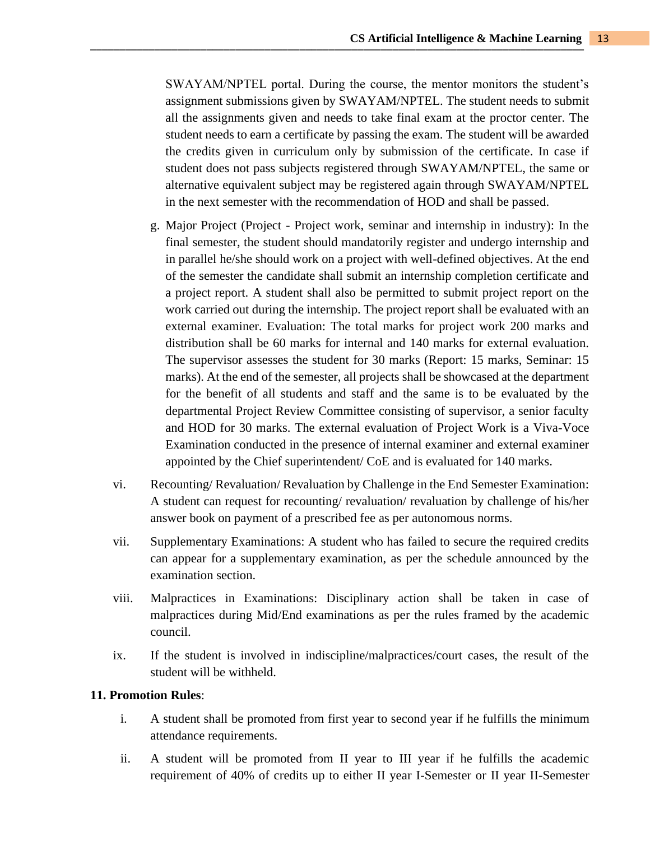SWAYAM/NPTEL portal. During the course, the mentor monitors the student's assignment submissions given by SWAYAM/NPTEL. The student needs to submit all the assignments given and needs to take final exam at the proctor center. The student needs to earn a certificate by passing the exam. The student will be awarded the credits given in curriculum only by submission of the certificate. In case if student does not pass subjects registered through SWAYAM/NPTEL, the same or alternative equivalent subject may be registered again through SWAYAM/NPTEL in the next semester with the recommendation of HOD and shall be passed.

- g. Major Project (Project Project work, seminar and internship in industry): In the final semester, the student should mandatorily register and undergo internship and in parallel he/she should work on a project with well-defined objectives. At the end of the semester the candidate shall submit an internship completion certificate and a project report. A student shall also be permitted to submit project report on the work carried out during the internship. The project report shall be evaluated with an external examiner. Evaluation: The total marks for project work 200 marks and distribution shall be 60 marks for internal and 140 marks for external evaluation. The supervisor assesses the student for 30 marks (Report: 15 marks, Seminar: 15 marks). At the end of the semester, all projects shall be showcased at the department for the benefit of all students and staff and the same is to be evaluated by the departmental Project Review Committee consisting of supervisor, a senior faculty and HOD for 30 marks. The external evaluation of Project Work is a Viva-Voce Examination conducted in the presence of internal examiner and external examiner appointed by the Chief superintendent/ CoE and is evaluated for 140 marks.
- vi. Recounting/ Revaluation/ Revaluation by Challenge in the End Semester Examination: A student can request for recounting/ revaluation/ revaluation by challenge of his/her answer book on payment of a prescribed fee as per autonomous norms.
- vii. Supplementary Examinations: A student who has failed to secure the required credits can appear for a supplementary examination, as per the schedule announced by the examination section.
- viii. Malpractices in Examinations: Disciplinary action shall be taken in case of malpractices during Mid/End examinations as per the rules framed by the academic council.
- ix. If the student is involved in indiscipline/malpractices/court cases, the result of the student will be withheld.

#### **11. Promotion Rules**:

- i. A student shall be promoted from first year to second year if he fulfills the minimum attendance requirements.
- ii. A student will be promoted from II year to III year if he fulfills the academic requirement of 40% of credits up to either II year I-Semester or II year II-Semester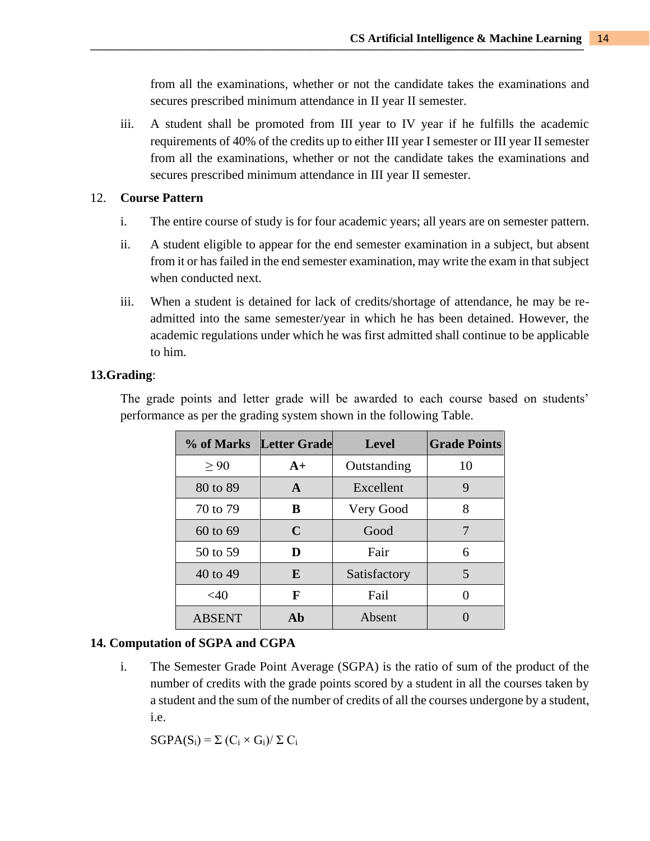from all the examinations, whether or not the candidate takes the examinations and secures prescribed minimum attendance in II year II semester.

iii. A student shall be promoted from III year to IV year if he fulfills the academic requirements of 40% of the credits up to either III year I semester or III year II semester from all the examinations, whether or not the candidate takes the examinations and secures prescribed minimum attendance in III year II semester.

#### 12. **Course Pattern**

- i. The entire course of study is for four academic years; all years are on semester pattern.
- ii. A student eligible to appear for the end semester examination in a subject, but absent from it or has failed in the end semester examination, may write the exam in that subject when conducted next.
- iii. When a student is detained for lack of credits/shortage of attendance, he may be readmitted into the same semester/year in which he has been detained. However, the academic regulations under which he was first admitted shall continue to be applicable to him.

## **13.Grading**:

The grade points and letter grade will be awarded to each course based on students' performance as per the grading system shown in the following Table.

|               | % of Marks Letter Grade | Level        | <b>Grade Points</b> |
|---------------|-------------------------|--------------|---------------------|
| > 90          | $A+$                    | Outstanding  | 10                  |
| 80 to 89      | $\mathbf{A}$            | Excellent    | 9                   |
| 70 to 79      | B                       | Very Good    | 8                   |
| 60 to 69      | C                       | Good         | 7                   |
| 50 to 59      | D                       | Fair         | 6                   |
| 40 to 49      | E                       | Satisfactory | 5                   |
| $<$ 40        | F                       | Fail         |                     |
| <b>ABSENT</b> | Ab                      | Absent       |                     |

#### **14. Computation of SGPA and CGPA**

i. The Semester Grade Point Average (SGPA) is the ratio of sum of the product of the number of credits with the grade points scored by a student in all the courses taken by a student and the sum of the number of credits of all the courses undergone by a student, i.e.

 $SGPA(S_i) = \sum (C_i \times G_i)/\sum C_i$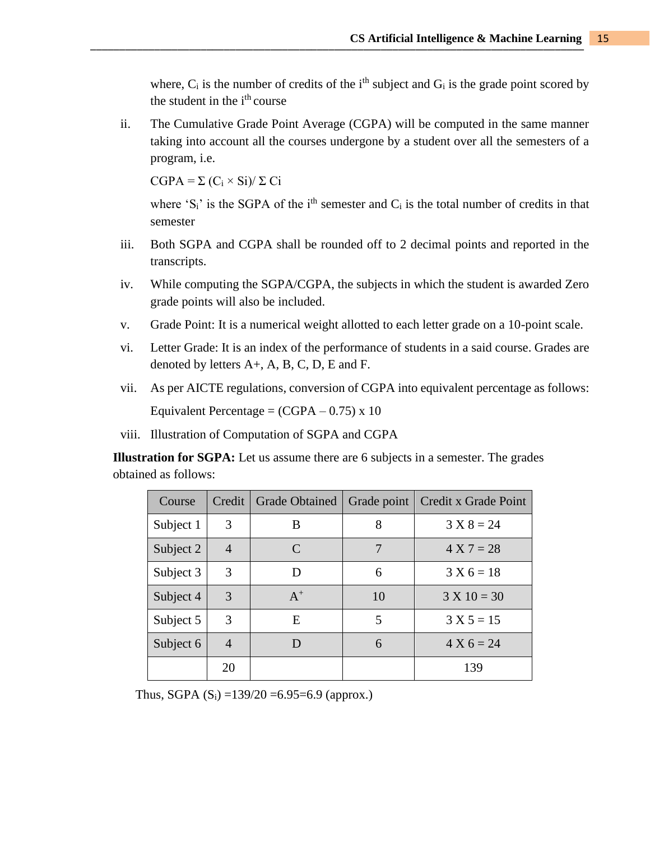where,  $C_i$  is the number of credits of the i<sup>th</sup> subject and  $G_i$  is the grade point scored by the student in the i<sup>th</sup> course

ii. The Cumulative Grade Point Average (CGPA) will be computed in the same manner taking into account all the courses undergone by a student over all the semesters of a program, i.e.

 $CGPA = \Sigma (C_i \times Si)/\Sigma Ci$ 

where 'S<sub>i</sub>' is the SGPA of the i<sup>th</sup> semester and  $C_i$  is the total number of credits in that semester

- iii. Both SGPA and CGPA shall be rounded off to 2 decimal points and reported in the transcripts.
- iv. While computing the SGPA/CGPA, the subjects in which the student is awarded Zero grade points will also be included.
- v. Grade Point: It is a numerical weight allotted to each letter grade on a 10-point scale.
- vi. Letter Grade: It is an index of the performance of students in a said course. Grades are denoted by letters A+, A, B, C, D, E and F.
- vii. As per AICTE regulations, conversion of CGPA into equivalent percentage as follows: Equivalent Percentage =  $(CGPA - 0.75) \times 10$

viii. Illustration of Computation of SGPA and CGPA

**Illustration for SGPA:** Let us assume there are 6 subjects in a semester. The grades obtained as follows:

| Course    | Credit         | <b>Grade Obtained</b>       | Grade point | Credit x Grade Point |
|-----------|----------------|-----------------------------|-------------|----------------------|
| Subject 1 | 3              | B                           | 8           | $3 X 8 = 24$         |
| Subject 2 | $\overline{4}$ | $\mathcal{C}_{\mathcal{C}}$ | 7           | $4 X 7 = 28$         |
| Subject 3 | 3              | D                           | 6           | $3 X 6 = 18$         |
| Subject 4 | 3              | $A^+$                       | 10          | $3 X 10 = 30$        |
| Subject 5 | 3              | E                           | 5           | $3 X 5 = 15$         |
| Subject 6 | 4              |                             | 6           | $4 X 6 = 24$         |
|           | 20             |                             |             | 139                  |

Thus, SGPA  $(S_i) = 139/20 = 6.95 = 6.9$  (approx.)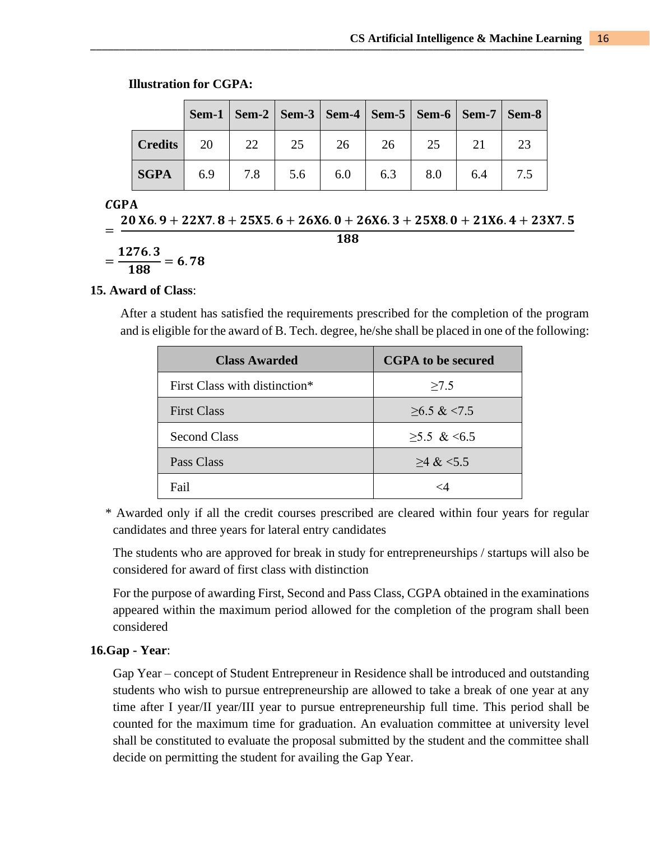|                |     |     | Sem-1   Sem-2   Sem-3   Sem-4   Sem-5   Sem-6   Sem-7   Sem-8 |     |     |     |     |  |
|----------------|-----|-----|---------------------------------------------------------------|-----|-----|-----|-----|--|
| <b>Credits</b> | 20  | 22  | 25                                                            | 26  | 26  | 25  |     |  |
| <b>SGPA</b>    | 6.9 | 7.8 | 5.6                                                           | 6.0 | 6.3 | 8.0 | 6.4 |  |

**Illustration for CGPA:**

#### **CGPA**

=  $20 X6.9 + 22 X7.8 + 25 X5.6 + 26 X6.0 + 26 X6.3 + 25 X8.0 + 21 X6.4 + 23 X7.5$ 188

$$
=\frac{1276.3}{188}=6.78
$$

#### **15. Award of Class**:

After a student has satisfied the requirements prescribed for the completion of the program and is eligible for the award of B. Tech. degree, he/she shall be placed in one of the following:

| <b>Class Awarded</b>                      | <b>CGPA</b> to be secured |
|-------------------------------------------|---------------------------|
| First Class with distinction <sup>*</sup> | >7.5                      |
| <b>First Class</b>                        | $\geq 6.5 \& \leq 7.5$    |
| <b>Second Class</b>                       | $>5.5$ & <6.5             |
| Pass Class                                | $>4$ & $<5.5$             |
| Fail                                      |                           |

\* Awarded only if all the credit courses prescribed are cleared within four years for regular candidates and three years for lateral entry candidates

The students who are approved for break in study for entrepreneurships / startups will also be considered for award of first class with distinction

For the purpose of awarding First, Second and Pass Class, CGPA obtained in the examinations appeared within the maximum period allowed for the completion of the program shall been considered

#### **16.Gap - Year**:

Gap Year – concept of Student Entrepreneur in Residence shall be introduced and outstanding students who wish to pursue entrepreneurship are allowed to take a break of one year at any time after I year/II year/III year to pursue entrepreneurship full time. This period shall be counted for the maximum time for graduation. An evaluation committee at university level shall be constituted to evaluate the proposal submitted by the student and the committee shall decide on permitting the student for availing the Gap Year.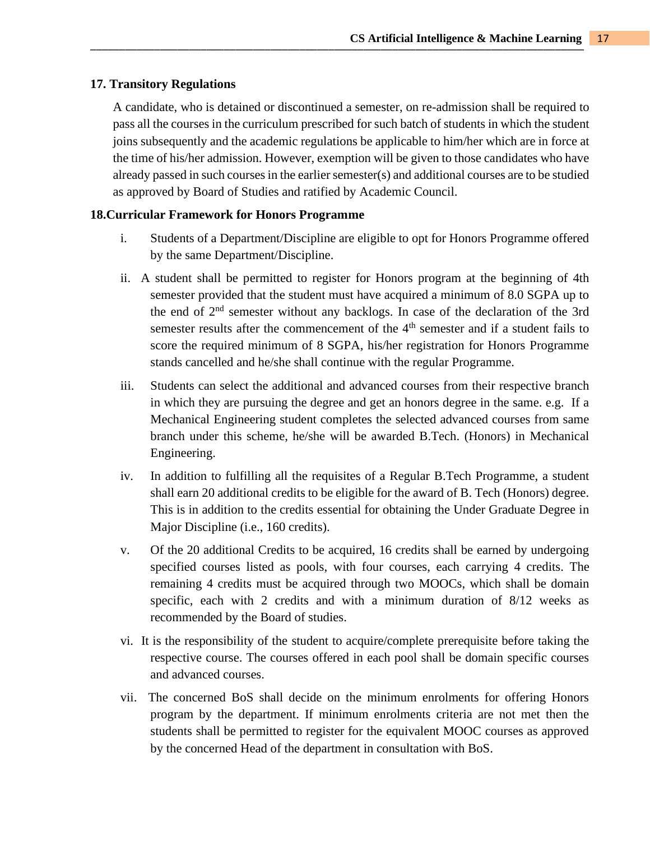#### **17. Transitory Regulations**

A candidate, who is detained or discontinued a semester, on re-admission shall be required to pass all the courses in the curriculum prescribed for such batch of students in which the student joins subsequently and the academic regulations be applicable to him/her which are in force at the time of his/her admission. However, exemption will be given to those candidates who have already passed in such courses in the earlier semester(s) and additional courses are to be studied as approved by Board of Studies and ratified by Academic Council.

### **18.Curricular Framework for Honors Programme**

- i. Students of a Department/Discipline are eligible to opt for Honors Programme offered by the same Department/Discipline.
- ii. A student shall be permitted to register for Honors program at the beginning of 4th semester provided that the student must have acquired a minimum of 8.0 SGPA up to the end of 2nd semester without any backlogs. In case of the declaration of the 3rd semester results after the commencement of the 4<sup>th</sup> semester and if a student fails to score the required minimum of 8 SGPA, his/her registration for Honors Programme stands cancelled and he/she shall continue with the regular Programme.
- iii. Students can select the additional and advanced courses from their respective branch in which they are pursuing the degree and get an honors degree in the same. e.g. If a Mechanical Engineering student completes the selected advanced courses from same branch under this scheme, he/she will be awarded B.Tech. (Honors) in Mechanical Engineering.
- iv. In addition to fulfilling all the requisites of a Regular B.Tech Programme, a student shall earn 20 additional credits to be eligible for the award of B. Tech (Honors) degree. This is in addition to the credits essential for obtaining the Under Graduate Degree in Major Discipline (i.e., 160 credits).
- v. Of the 20 additional Credits to be acquired, 16 credits shall be earned by undergoing specified courses listed as pools, with four courses, each carrying 4 credits. The remaining 4 credits must be acquired through two MOOCs, which shall be domain specific, each with 2 credits and with a minimum duration of 8/12 weeks as recommended by the Board of studies.
- vi. It is the responsibility of the student to acquire/complete prerequisite before taking the respective course. The courses offered in each pool shall be domain specific courses and advanced courses.
- vii. The concerned BoS shall decide on the minimum enrolments for offering Honors program by the department. If minimum enrolments criteria are not met then the students shall be permitted to register for the equivalent MOOC courses as approved by the concerned Head of the department in consultation with BoS.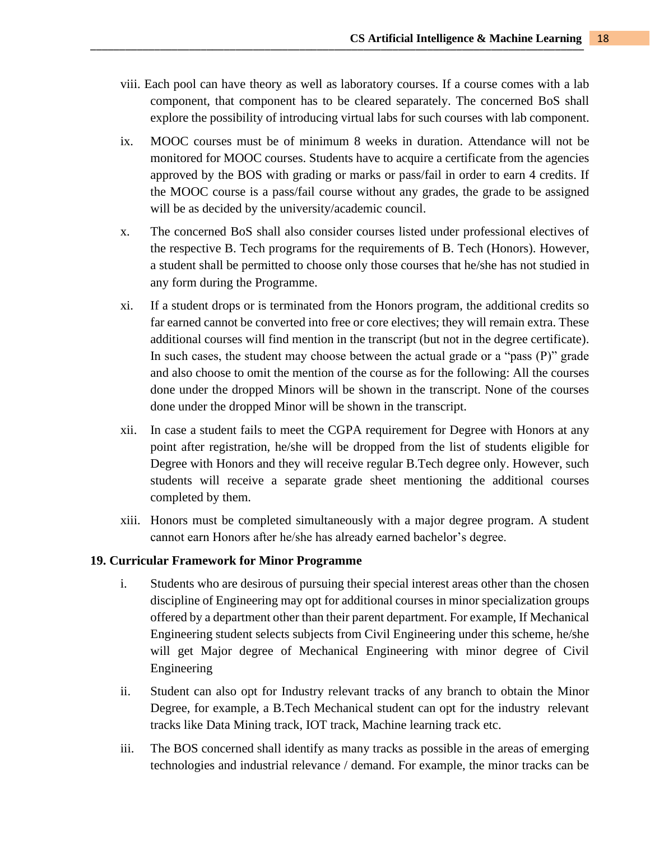- viii. Each pool can have theory as well as laboratory courses. If a course comes with a lab component, that component has to be cleared separately. The concerned BoS shall explore the possibility of introducing virtual labs for such courses with lab component.
- ix. MOOC courses must be of minimum 8 weeks in duration. Attendance will not be monitored for MOOC courses. Students have to acquire a certificate from the agencies approved by the BOS with grading or marks or pass/fail in order to earn 4 credits. If the MOOC course is a pass/fail course without any grades, the grade to be assigned will be as decided by the university/academic council.
- x. The concerned BoS shall also consider courses listed under professional electives of the respective B. Tech programs for the requirements of B. Tech (Honors). However, a student shall be permitted to choose only those courses that he/she has not studied in any form during the Programme.
- xi. If a student drops or is terminated from the Honors program, the additional credits so far earned cannot be converted into free or core electives; they will remain extra. These additional courses will find mention in the transcript (but not in the degree certificate). In such cases, the student may choose between the actual grade or a "pass (P)" grade and also choose to omit the mention of the course as for the following: All the courses done under the dropped Minors will be shown in the transcript. None of the courses done under the dropped Minor will be shown in the transcript.
- xii. In case a student fails to meet the CGPA requirement for Degree with Honors at any point after registration, he/she will be dropped from the list of students eligible for Degree with Honors and they will receive regular B.Tech degree only. However, such students will receive a separate grade sheet mentioning the additional courses completed by them.
- xiii. Honors must be completed simultaneously with a major degree program. A student cannot earn Honors after he/she has already earned bachelor's degree.

## **19. Curricular Framework for Minor Programme**

- i. Students who are desirous of pursuing their special interest areas other than the chosen discipline of Engineering may opt for additional courses in minor specialization groups offered by a department other than their parent department. For example, If Mechanical Engineering student selects subjects from Civil Engineering under this scheme, he/she will get Major degree of Mechanical Engineering with minor degree of Civil Engineering
- ii. Student can also opt for Industry relevant tracks of any branch to obtain the Minor Degree, for example, a B.Tech Mechanical student can opt for the industry relevant tracks like Data Mining track, IOT track, Machine learning track etc.
- iii. The BOS concerned shall identify as many tracks as possible in the areas of emerging technologies and industrial relevance / demand. For example, the minor tracks can be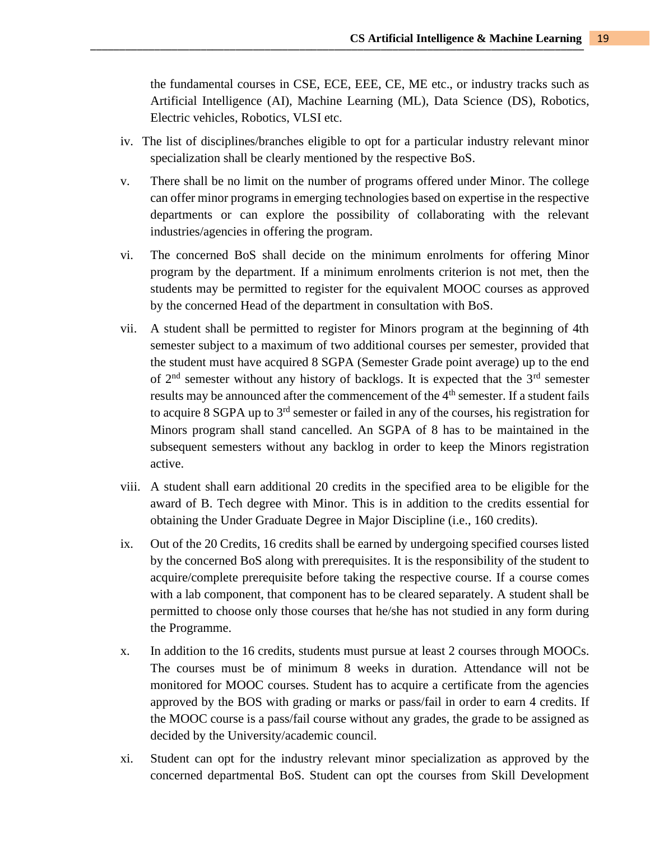the fundamental courses in CSE, ECE, EEE, CE, ME etc., or industry tracks such as Artificial Intelligence (AI), Machine Learning (ML), Data Science (DS), Robotics, Electric vehicles, Robotics, VLSI etc.

- iv. The list of disciplines/branches eligible to opt for a particular industry relevant minor specialization shall be clearly mentioned by the respective BoS.
- v. There shall be no limit on the number of programs offered under Minor. The college can offer minor programs in emerging technologies based on expertise in the respective departments or can explore the possibility of collaborating with the relevant industries/agencies in offering the program.
- vi. The concerned BoS shall decide on the minimum enrolments for offering Minor program by the department. If a minimum enrolments criterion is not met, then the students may be permitted to register for the equivalent MOOC courses as approved by the concerned Head of the department in consultation with BoS.
- vii. A student shall be permitted to register for Minors program at the beginning of 4th semester subject to a maximum of two additional courses per semester, provided that the student must have acquired 8 SGPA (Semester Grade point average) up to the end of  $2<sup>nd</sup>$  semester without any history of backlogs. It is expected that the  $3<sup>rd</sup>$  semester results may be announced after the commencement of the 4<sup>th</sup> semester. If a student fails to acquire 8 SGPA up to 3rd semester or failed in any of the courses, his registration for Minors program shall stand cancelled. An SGPA of 8 has to be maintained in the subsequent semesters without any backlog in order to keep the Minors registration active.
- viii. A student shall earn additional 20 credits in the specified area to be eligible for the award of B. Tech degree with Minor. This is in addition to the credits essential for obtaining the Under Graduate Degree in Major Discipline (i.e., 160 credits).
- ix. Out of the 20 Credits, 16 credits shall be earned by undergoing specified courses listed by the concerned BoS along with prerequisites. It is the responsibility of the student to acquire/complete prerequisite before taking the respective course. If a course comes with a lab component, that component has to be cleared separately. A student shall be permitted to choose only those courses that he/she has not studied in any form during the Programme.
- x. In addition to the 16 credits, students must pursue at least 2 courses through MOOCs. The courses must be of minimum 8 weeks in duration. Attendance will not be monitored for MOOC courses. Student has to acquire a certificate from the agencies approved by the BOS with grading or marks or pass/fail in order to earn 4 credits. If the MOOC course is a pass/fail course without any grades, the grade to be assigned as decided by the University/academic council.
- xi. Student can opt for the industry relevant minor specialization as approved by the concerned departmental BoS. Student can opt the courses from Skill Development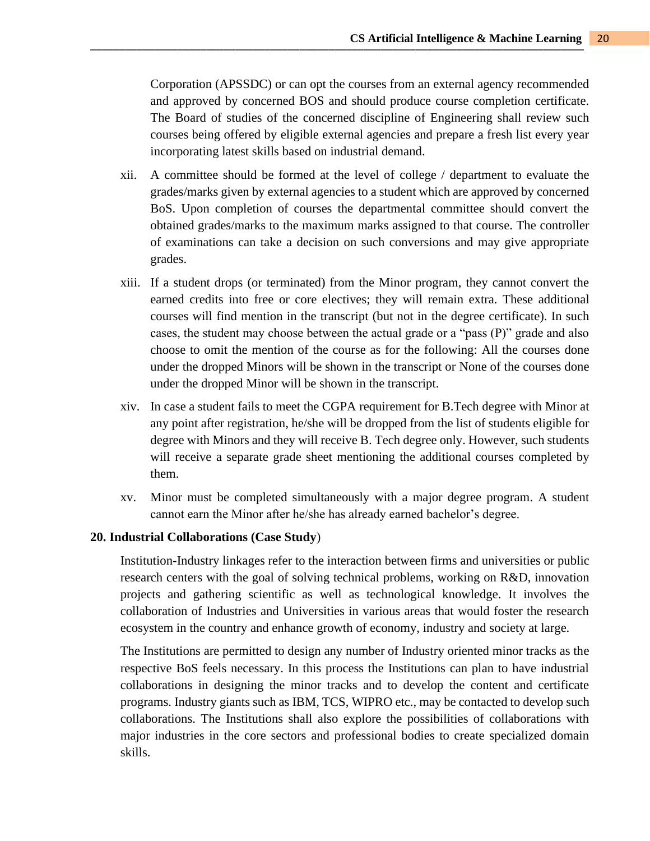Corporation (APSSDC) or can opt the courses from an external agency recommended and approved by concerned BOS and should produce course completion certificate. The Board of studies of the concerned discipline of Engineering shall review such courses being offered by eligible external agencies and prepare a fresh list every year incorporating latest skills based on industrial demand.

- xii. A committee should be formed at the level of college / department to evaluate the grades/marks given by external agencies to a student which are approved by concerned BoS. Upon completion of courses the departmental committee should convert the obtained grades/marks to the maximum marks assigned to that course. The controller of examinations can take a decision on such conversions and may give appropriate grades.
- xiii. If a student drops (or terminated) from the Minor program, they cannot convert the earned credits into free or core electives; they will remain extra. These additional courses will find mention in the transcript (but not in the degree certificate). In such cases, the student may choose between the actual grade or a "pass (P)" grade and also choose to omit the mention of the course as for the following: All the courses done under the dropped Minors will be shown in the transcript or None of the courses done under the dropped Minor will be shown in the transcript.
- xiv. In case a student fails to meet the CGPA requirement for B.Tech degree with Minor at any point after registration, he/she will be dropped from the list of students eligible for degree with Minors and they will receive B. Tech degree only. However, such students will receive a separate grade sheet mentioning the additional courses completed by them.
- xv. Minor must be completed simultaneously with a major degree program. A student cannot earn the Minor after he/she has already earned bachelor's degree.

#### **20. Industrial Collaborations (Case Study**)

Institution-Industry linkages refer to the interaction between firms and universities or public research centers with the goal of solving technical problems, working on R&D, innovation projects and gathering scientific as well as technological knowledge. It involves the collaboration of Industries and Universities in various areas that would foster the research ecosystem in the country and enhance growth of economy, industry and society at large.

The Institutions are permitted to design any number of Industry oriented minor tracks as the respective BoS feels necessary. In this process the Institutions can plan to have industrial collaborations in designing the minor tracks and to develop the content and certificate programs. Industry giants such as IBM, TCS, WIPRO etc., may be contacted to develop such collaborations. The Institutions shall also explore the possibilities of collaborations with major industries in the core sectors and professional bodies to create specialized domain skills.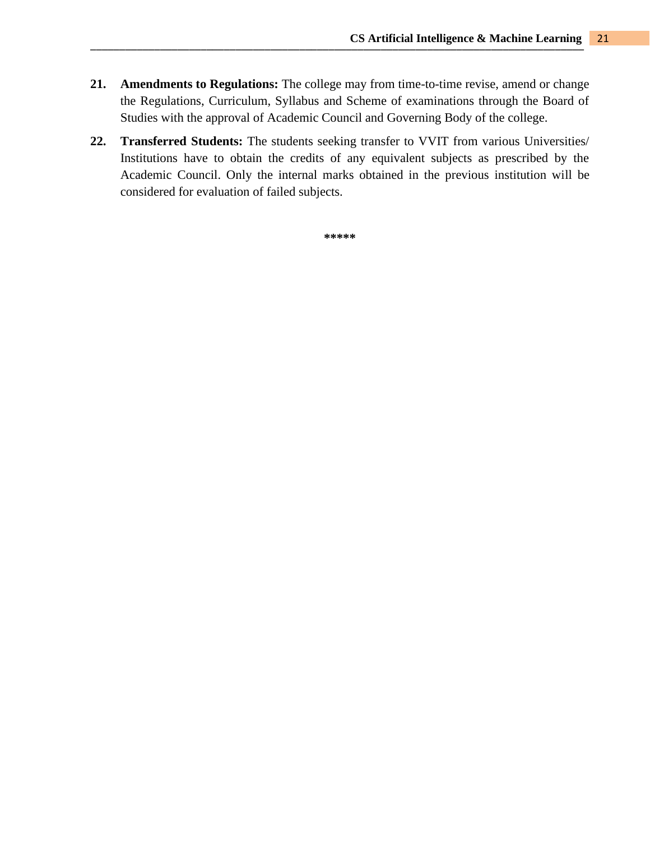- **21. Amendments to Regulations:** The college may from time-to-time revise, amend or change the Regulations, Curriculum, Syllabus and Scheme of examinations through the Board of Studies with the approval of Academic Council and Governing Body of the college.
- **22. Transferred Students:** The students seeking transfer to VVIT from various Universities/ Institutions have to obtain the credits of any equivalent subjects as prescribed by the Academic Council. Only the internal marks obtained in the previous institution will be considered for evaluation of failed subjects.

**\*\*\*\*\***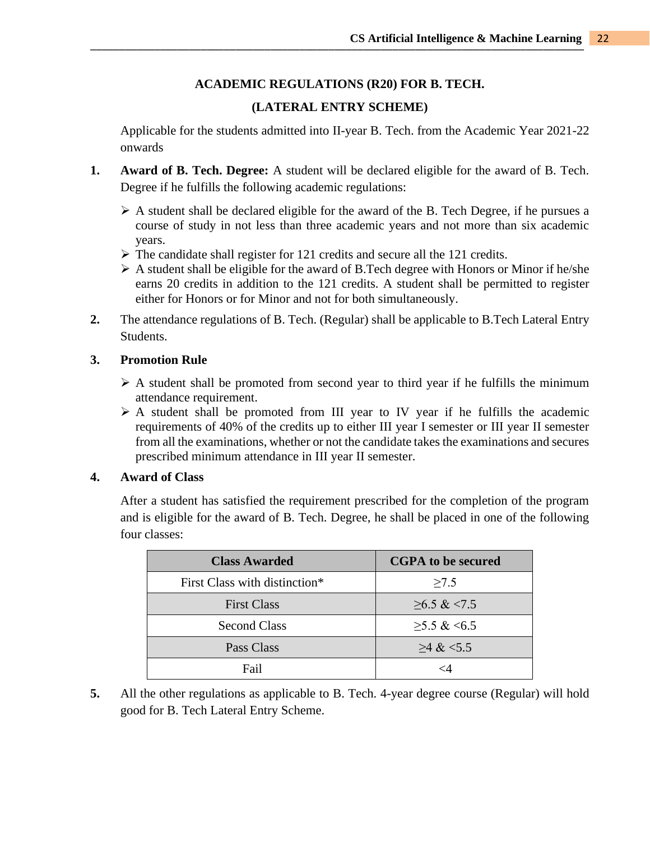## **ACADEMIC REGULATIONS (R20) FOR B. TECH.**

## **(LATERAL ENTRY SCHEME)**

Applicable for the students admitted into II-year B. Tech. from the Academic Year 2021-22 onwards

- **1. Award of B. Tech. Degree:** A student will be declared eligible for the award of B. Tech. Degree if he fulfills the following academic regulations:
	- $\triangleright$  A student shall be declared eligible for the award of the B. Tech Degree, if he pursues a course of study in not less than three academic years and not more than six academic years.
	- $\triangleright$  The candidate shall register for 121 credits and secure all the 121 credits.
	- ➢ A student shall be eligible for the award of B.Tech degree with Honors or Minor if he/she earns 20 credits in addition to the 121 credits. A student shall be permitted to register either for Honors or for Minor and not for both simultaneously.
- **2.** The attendance regulations of B. Tech. (Regular) shall be applicable to B.Tech Lateral Entry Students.

#### **3. Promotion Rule**

- $\triangleright$  A student shall be promoted from second year to third year if he fulfills the minimum attendance requirement.
- $\triangleright$  A student shall be promoted from III year to IV year if he fulfills the academic requirements of 40% of the credits up to either III year I semester or III year II semester from all the examinations, whether or not the candidate takes the examinations and secures prescribed minimum attendance in III year II semester.

#### **4. Award of Class**

After a student has satisfied the requirement prescribed for the completion of the program and is eligible for the award of B. Tech. Degree, he shall be placed in one of the following four classes:

| <b>Class Awarded</b>          | <b>CGPA</b> to be secured |
|-------------------------------|---------------------------|
| First Class with distinction* | >7.5                      |
| <b>First Class</b>            | $\geq 6.5 \& \leq 7.5$    |
| <b>Second Class</b>           | $>5.5 \& 5.5$             |
| Pass Class                    | $>4$ & $<5.5$             |
| Fail                          | <Δ                        |

**5.** All the other regulations as applicable to B. Tech. 4-year degree course (Regular) will hold good for B. Tech Lateral Entry Scheme.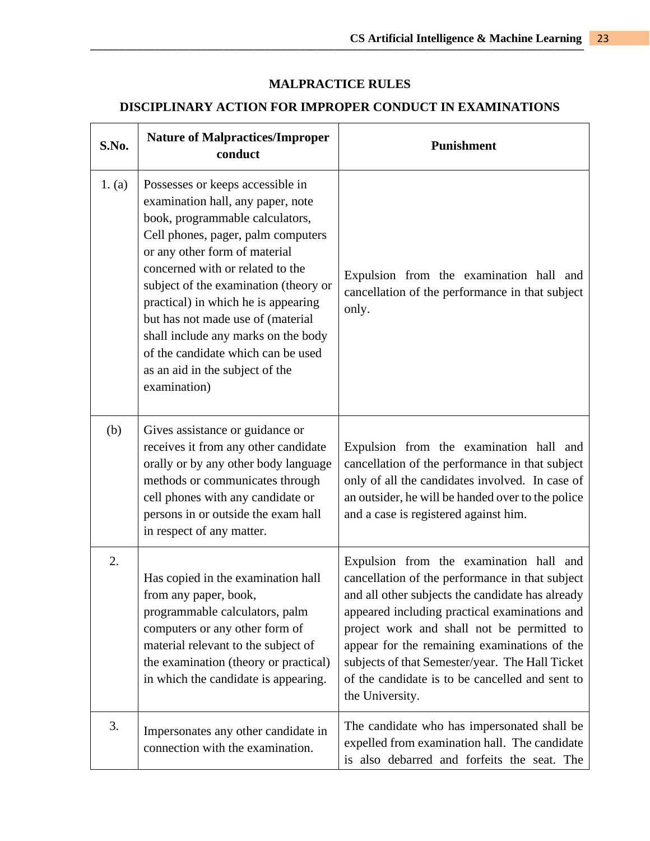# **MALPRACTICE RULES**

# **DISCIPLINARY ACTION FOR IMPROPER CONDUCT IN EXAMINATIONS**

| S.No.  | <b>Nature of Malpractices/Improper</b><br>conduct                                                                                                                                                                                                                                                                                                                                                                                                                        | <b>Punishment</b>                                                                                                                                                                                                                                                                                                                                                                                                      |
|--------|--------------------------------------------------------------------------------------------------------------------------------------------------------------------------------------------------------------------------------------------------------------------------------------------------------------------------------------------------------------------------------------------------------------------------------------------------------------------------|------------------------------------------------------------------------------------------------------------------------------------------------------------------------------------------------------------------------------------------------------------------------------------------------------------------------------------------------------------------------------------------------------------------------|
| 1. (a) | Possesses or keeps accessible in<br>examination hall, any paper, note<br>book, programmable calculators,<br>Cell phones, pager, palm computers<br>or any other form of material<br>concerned with or related to the<br>subject of the examination (theory or<br>practical) in which he is appearing<br>but has not made use of (material<br>shall include any marks on the body<br>of the candidate which can be used<br>as an aid in the subject of the<br>examination) | Expulsion from the examination hall and<br>cancellation of the performance in that subject<br>only.                                                                                                                                                                                                                                                                                                                    |
| (b)    | Gives assistance or guidance or<br>receives it from any other candidate<br>orally or by any other body language<br>methods or communicates through<br>cell phones with any candidate or<br>persons in or outside the exam hall<br>in respect of any matter.                                                                                                                                                                                                              | Expulsion from the examination hall and<br>cancellation of the performance in that subject<br>only of all the candidates involved. In case of<br>an outsider, he will be handed over to the police<br>and a case is registered against him.                                                                                                                                                                            |
| 2.     | Has copied in the examination hall<br>from any paper, book,<br>programmable calculators, palm<br>computers or any other form of<br>material relevant to the subject of<br>the examination (theory or practical)<br>in which the candidate is appearing.                                                                                                                                                                                                                  | Expulsion from the examination hall and<br>cancellation of the performance in that subject<br>and all other subjects the candidate has already<br>appeared including practical examinations and<br>project work and shall not be permitted to<br>appear for the remaining examinations of the<br>subjects of that Semester/year. The Hall Ticket<br>of the candidate is to be cancelled and sent to<br>the University. |
| 3.     | Impersonates any other candidate in<br>connection with the examination.                                                                                                                                                                                                                                                                                                                                                                                                  | The candidate who has impersonated shall be<br>expelled from examination hall. The candidate<br>is also debarred and forfeits the seat. The                                                                                                                                                                                                                                                                            |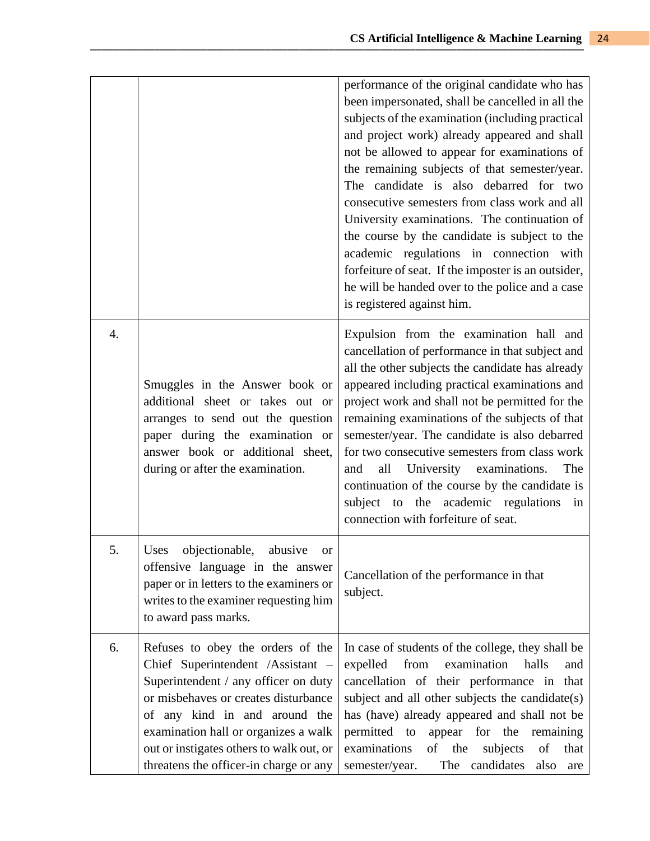|                  |                                                                                                                                                                                                                                                                                                                       | performance of the original candidate who has<br>been impersonated, shall be cancelled in all the<br>subjects of the examination (including practical<br>and project work) already appeared and shall<br>not be allowed to appear for examinations of<br>the remaining subjects of that semester/year.<br>The candidate is also debarred for two<br>consecutive semesters from class work and all<br>University examinations. The continuation of<br>the course by the candidate is subject to the<br>academic regulations in connection with<br>forfeiture of seat. If the imposter is an outsider,<br>he will be handed over to the police and a case<br>is registered against him. |
|------------------|-----------------------------------------------------------------------------------------------------------------------------------------------------------------------------------------------------------------------------------------------------------------------------------------------------------------------|---------------------------------------------------------------------------------------------------------------------------------------------------------------------------------------------------------------------------------------------------------------------------------------------------------------------------------------------------------------------------------------------------------------------------------------------------------------------------------------------------------------------------------------------------------------------------------------------------------------------------------------------------------------------------------------|
| $\overline{4}$ . | Smuggles in the Answer book or<br>additional sheet or takes out or<br>arranges to send out the question<br>paper during the examination or<br>answer book or additional sheet,<br>during or after the examination.                                                                                                    | Expulsion from the examination hall and<br>cancellation of performance in that subject and<br>all the other subjects the candidate has already<br>appeared including practical examinations and<br>project work and shall not be permitted for the<br>remaining examinations of the subjects of that<br>semester/year. The candidate is also debarred<br>for two consecutive semesters from class work<br>all<br>University examinations.<br>and<br>The<br>continuation of the course by the candidate is<br>subject to the academic regulations<br>in<br>connection with forfeiture of seat.                                                                                         |
| 5.               | Uses objectionable, abusive or<br>offensive language in the answer<br>paper or in letters to the examiners or<br>writes to the examiner requesting him<br>to award pass marks.                                                                                                                                        | Cancellation of the performance in that<br>subject.                                                                                                                                                                                                                                                                                                                                                                                                                                                                                                                                                                                                                                   |
| 6.               | Refuses to obey the orders of the<br>Chief Superintendent /Assistant -<br>Superintendent / any officer on duty<br>or misbehaves or creates disturbance<br>of any kind in and around the<br>examination hall or organizes a walk<br>out or instigates others to walk out, or<br>threatens the officer-in charge or any | In case of students of the college, they shall be<br>expelled<br>from<br>examination<br>halls<br>and<br>cancellation of their performance in<br>that<br>subject and all other subjects the candidate(s)<br>has (have) already appeared and shall not be<br>permitted to<br>appear<br>for the<br>remaining<br>examinations<br>of<br>the<br>of<br>subjects<br>that<br>semester/year.<br>candidates<br>The<br>also<br>are                                                                                                                                                                                                                                                                |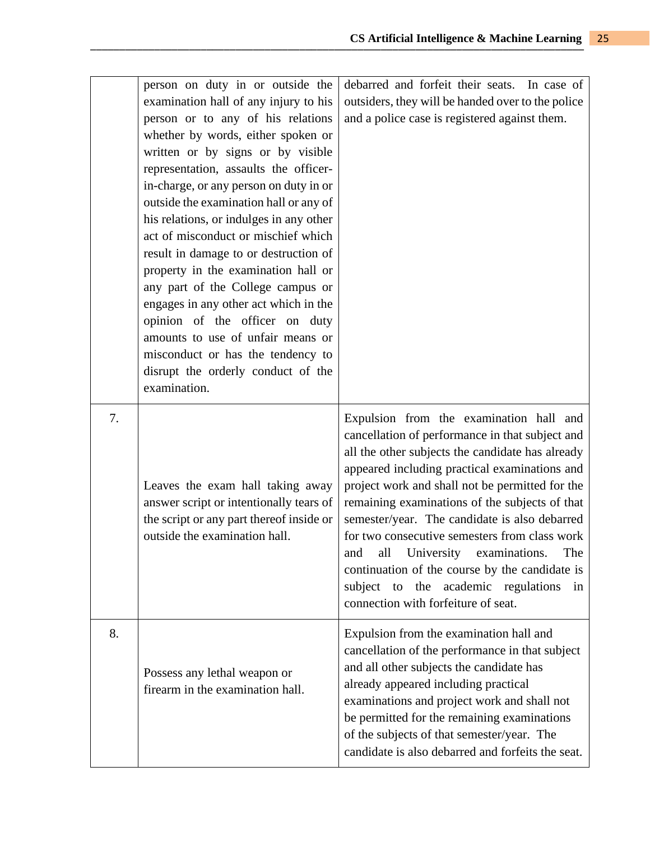|    | person on duty in or outside the<br>examination hall of any injury to his<br>person or to any of his relations<br>whether by words, either spoken or<br>written or by signs or by visible<br>representation, assaults the officer-<br>in-charge, or any person on duty in or<br>outside the examination hall or any of<br>his relations, or indulges in any other<br>act of misconduct or mischief which<br>result in damage to or destruction of<br>property in the examination hall or<br>any part of the College campus or<br>engages in any other act which in the<br>opinion of the officer on duty<br>amounts to use of unfair means or<br>misconduct or has the tendency to<br>disrupt the orderly conduct of the<br>examination. | debarred and forfeit their seats. In case of<br>outsiders, they will be handed over to the police<br>and a police case is registered against them.                                                                                                                                                                                                                                                                                                                                                                                                                                               |
|----|------------------------------------------------------------------------------------------------------------------------------------------------------------------------------------------------------------------------------------------------------------------------------------------------------------------------------------------------------------------------------------------------------------------------------------------------------------------------------------------------------------------------------------------------------------------------------------------------------------------------------------------------------------------------------------------------------------------------------------------|--------------------------------------------------------------------------------------------------------------------------------------------------------------------------------------------------------------------------------------------------------------------------------------------------------------------------------------------------------------------------------------------------------------------------------------------------------------------------------------------------------------------------------------------------------------------------------------------------|
| 7. | Leaves the exam hall taking away<br>answer script or intentionally tears of<br>the script or any part thereof inside or<br>outside the examination hall.                                                                                                                                                                                                                                                                                                                                                                                                                                                                                                                                                                                 | Expulsion from the examination hall and<br>cancellation of performance in that subject and<br>all the other subjects the candidate has already<br>appeared including practical examinations and<br>project work and shall not be permitted for the<br>remaining examinations of the subjects of that<br>semester/year. The candidate is also debarred<br>for two consecutive semesters from class work<br>University examinations.<br>all<br>and<br>The<br>continuation of the course by the candidate is<br>subject to the<br>academic regulations<br>in<br>connection with forfeiture of seat. |
| 8. | Possess any lethal weapon or<br>firearm in the examination hall.                                                                                                                                                                                                                                                                                                                                                                                                                                                                                                                                                                                                                                                                         | Expulsion from the examination hall and<br>cancellation of the performance in that subject<br>and all other subjects the candidate has<br>already appeared including practical<br>examinations and project work and shall not<br>be permitted for the remaining examinations<br>of the subjects of that semester/year. The<br>candidate is also debarred and forfeits the seat.                                                                                                                                                                                                                  |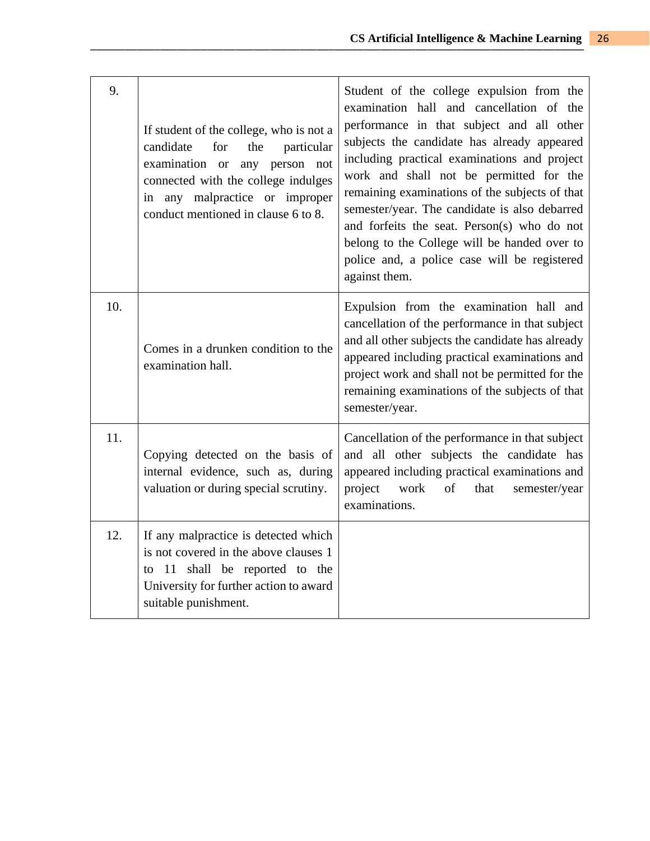| 9.  | If student of the college, who is not a<br>candidate<br>for<br>the<br>particular<br>examination or<br>any person not<br>connected with the college indulges<br>in any malpractice or improper<br>conduct mentioned in clause 6 to 8. | Student of the college expulsion from the<br>examination hall and cancellation of the<br>performance in that subject and all other<br>subjects the candidate has already appeared<br>including practical examinations and project<br>work and shall not be permitted for the<br>remaining examinations of the subjects of that<br>semester/year. The candidate is also debarred<br>and forfeits the seat. Person(s) who do not<br>belong to the College will be handed over to<br>police and, a police case will be registered<br>against them. |
|-----|--------------------------------------------------------------------------------------------------------------------------------------------------------------------------------------------------------------------------------------|-------------------------------------------------------------------------------------------------------------------------------------------------------------------------------------------------------------------------------------------------------------------------------------------------------------------------------------------------------------------------------------------------------------------------------------------------------------------------------------------------------------------------------------------------|
| 10. | Comes in a drunken condition to the<br>examination hall.                                                                                                                                                                             | Expulsion from the examination hall and<br>cancellation of the performance in that subject<br>and all other subjects the candidate has already<br>appeared including practical examinations and<br>project work and shall not be permitted for the<br>remaining examinations of the subjects of that<br>semester/year.                                                                                                                                                                                                                          |
| 11. | Copying detected on the basis of<br>internal evidence, such as, during<br>valuation or during special scrutiny.                                                                                                                      | Cancellation of the performance in that subject<br>and all other subjects the candidate has<br>appeared including practical examinations and<br>work<br>of<br>project<br>that<br>semester/year<br>examinations.                                                                                                                                                                                                                                                                                                                                 |
| 12. | If any malpractice is detected which<br>is not covered in the above clauses 1<br>to 11 shall be reported to the<br>University for further action to award<br>suitable punishment.                                                    |                                                                                                                                                                                                                                                                                                                                                                                                                                                                                                                                                 |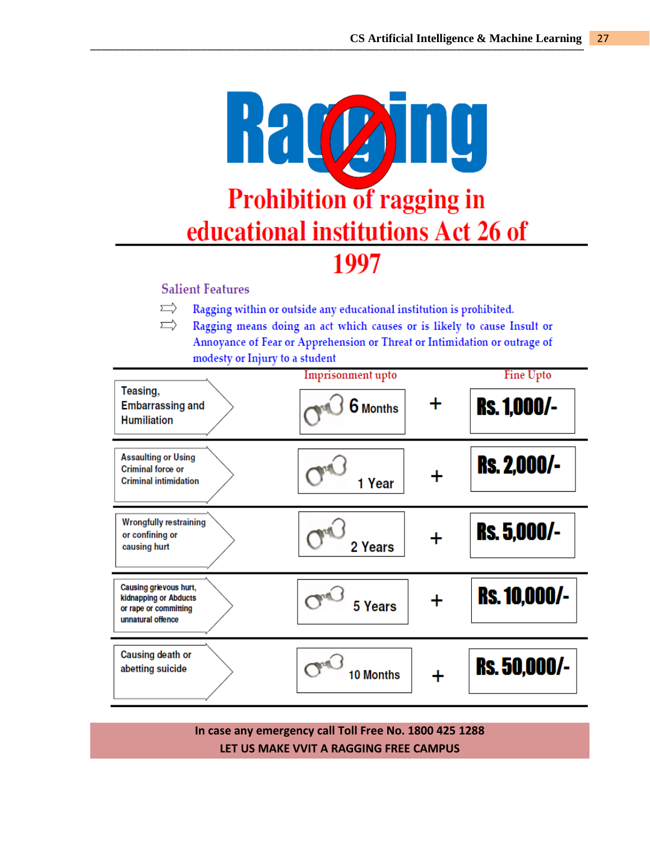

## **Salient Features**

- $\Rightarrow$ Ragging within or outside any educational institution is prohibited.
- ⇨ Ragging means doing an act which causes or is likely to cause Insult or Annoyance of Fear or Apprehension or Threat or Intimidation or outrage of modesty or Injury to a student

| Teasing,<br><b>Embarrassing and</b><br><b>Humiliation</b>                                     | Imprisonment upto<br>$\boldsymbol{6}$ Months | ┿ | Fine Upto<br><b>Rs. 1,000/-</b> |
|-----------------------------------------------------------------------------------------------|----------------------------------------------|---|---------------------------------|
| <b>Assaulting or Using</b><br><b>Criminal force or</b><br><b>Criminal intimidation</b>        | 1 Year                                       | ╋ | <b>Rs. 2,000/-</b>              |
| <b>Wrongfully restraining</b><br>or confining or<br>causing hurt                              | 2 Years                                      | ┿ | <b>Rs. 5,000/-</b>              |
| Causing grievous hurt,<br>kidnapping or Abducts<br>or rape or committing<br>unnatural offence | 5 Years                                      | ╋ | <b>Rs. 10,000/-</b>             |
| <b>Causing death or</b><br>abetting suicide                                                   | <b>10 Months</b>                             | ╋ | <b>Rs. 50,000/-</b>             |

**In case any emergency call Toll Free No. 1800 425 1288 LET US MAKE VVIT A RAGGING FREE CAMPUS**